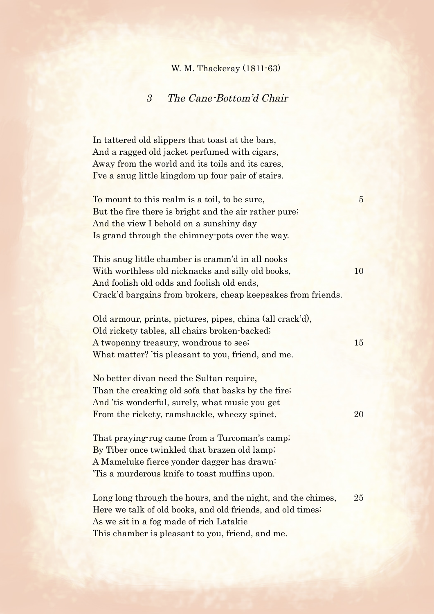## W. M. Thackeray (1811-63)

## 3 The Cane-Bottom'd Chair

In tattered old slippers that toast at the bars, And a ragged old jacket perfumed with cigars, Away from the world and its toils and its cares, I've a snug little kingdom up four pair of stairs.

To mount to this realm is a toil, to be sure, 5 But the fire there is bright and the air rather pure; And the view I behold on a sunshiny day Is grand through the chimney-pots over the way.

This snug little chamber is cramm'd in all nooks With worthless old nicknacks and silly old books, 10 And foolish old odds and foolish old ends, Crack'd bargains from brokers, cheap keepsakes from friends.

Old armour, prints, pictures, pipes, china (all crack'd), Old rickety tables, all chairs broken-backed; A twopenny treasury, wondrous to see; 15 What matter? 'tis pleasant to you, friend, and me.

No better divan need the Sultan require, Than the creaking old sofa that basks by the fire; And 'tis wonderful, surely, what music you get From the rickety, ramshackle, wheezy spinet. 20

That praying-rug came from a Turcoman's camp; By Tiber once twinkled that brazen old lamp; A Mameluke fierce yonder dagger has drawn: 'Tis a murderous knife to toast muffins upon.

Long long through the hours, and the night, and the chimes, 25 Here we talk of old books, and old friends, and old times; As we sit in a fog made of rich Latakie This chamber is pleasant to you, friend, and me.